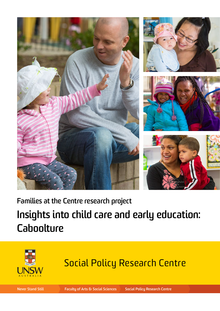







**Families at the Centre research project**

# **Insights into child care and early education: Caboolture**



# Social Policy Research Centre

**Never Stand Still Faculty of Arts & Social Sciences Social Policy Research Centre**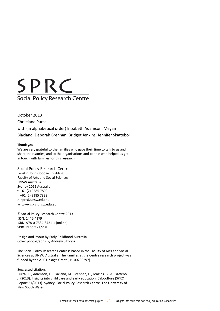

October 2013 Christiane Purcal with (in alphabetical order) Elizabeth Adamson, Megan Blaxland, Deborah Brennan, Bridget Jenkins, Jennifer Skattebol

#### **Thank you**

We are very grateful to the families who gave their time to talk to us and share their stories, and to the organisations and people who helped us get in touch with families for this research.

#### Social Policy Research Centre

Level 2, John Goodsell Building Faculty of Arts and Social Sciences UNSW Australia Sydney 2052 Australia t +61 (2) 9385 7800 f +61 (2) 9385 7838 e sprc@unsw.edu.au w www.sprc.unsw.edu.au

© Social Policy Research Centre 2013 ISSN: 1446-4179 ISBN: 978-0-7334-3421-1 (online) SPRC Report 21/2013

Design and layout by Early Childhood Australia Cover photographs by Andrew Sikorski

The Social Policy Research Centre is based in the Faculty of Arts and Social Sciences at UNSW Australia. The Families at the Centre research project was funded by the ARC Linkage Grant (LP100200297).

Suggested citation:

Purcal, C., Adamson, E., Blaxland, M., Brennan, D., Jenkins, B., & Skattebol, J. (2013). Insights into child care and early education: Caboolture (SPRC Report 21/2013). Sydney: Social Policy Research Centre, The University of New South Wales.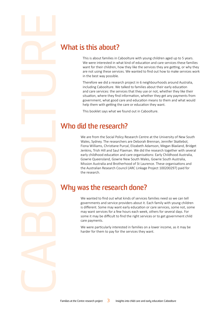### **What is this about?**

This is about families in Caboolture with young children aged up to 5 years. We were interested in what kind of education and care services these families want for their children, how they like the services they are getting, or why they are not using these services. We wanted to find out how to make services work in the best way possible.

Therefore we did a research project in 6 neighbourhoods around Australia, including Caboolture. We talked to families about their early education and care services: the services that they use or not, whether they like their situation, where they find information, whether they get any payments from government, what good care and education means to them and what would help them with getting the care or education they want.

This booklet says what we found out in Caboolture.

### **Who did the research?**

We are from the Social Policy Research Centre at the University of New South Wales, Sydney. The researchers are Deborah Brennan, Jennifer Skattebol, Fiona Williams, Christiane Purcal, Elizabeth Adamson, Megan Blaxland, Bridget Jenkins, Trish Hill and Saul Flaxman. We did the research together with several early childhood education and care organisations: Early Childhood Australia, Gowrie Queensland, Gowrie New South Wales, Gowrie South Australia, Mission Australia and Brotherhood of St Laurence. These organisations and the Australian Research Council (ARC Linkage Project 100200297) paid for the research.

### **Why was the research done?**

We wanted to find out what kinds of services families need so we can tell governments and service providers about it. Each family with young children is different. Some may want early education or care services, some not, some may want services for a few hours each week, others for several days. For some it may be difficult to find the right services or to get government child care payments.

We were particularly interested in families on a lower income, as it may be harder for them to pay for the services they want.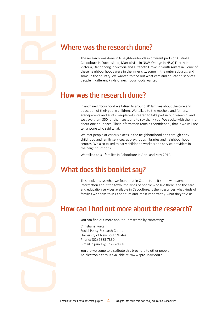### **Where was the research done?**

The research was done in 6 neighbourhoods in different parts of Australia: Caboolture in Queensland, Marrickville in NSW, Orange in NSW, Fitzroy in Victoria, Dandenong in Victoria and Elizabeth Grove in South Australia. Some of these neighbourhoods were in the inner city, some in the outer suburbs, and some in the country. We wanted to find out what care and education services people in different kinds of neighbourhoods wanted.

### **How was the research done?**

In each neighbourhood we talked to around 20 families about the care and education of their young children. We talked to the mothers and fathers, grandparents and aunts. People volunteered to take part in our research, and we gave them \$50 for their costs and to say thank you. We spoke with them for about one hour each. Their information remains confidential, that is we will not tell anyone who said what.

We met people at various places in the neighbourhood and through early childhood and family services, at playgroups, libraries and neighbourhood centres. We also talked to early childhood workers and service providers in the neighbourhoods.

We talked to 31 families in Caboolture in April and May 2012.

### **What does this booklet say?**

This booklet says what we found out in Caboolture. It starts with some information about the town, the kinds of people who live there, and the care and education services available in Caboolture. It then describes what kinds of families we spoke to in Caboolture and, most importantly, what they told us.

### **How can I find out more about the research?**

You can find out more about our research by contacting:

Christiane Purcal Social Policy Research Centre University of New South Wales Phone: (02) 9385 7830 E-mail: c.purcal@unsw.edu.au

You are welcome to distribute this brochure to other people. An electronic copy is available at: www.sprc.unsw.edu.au.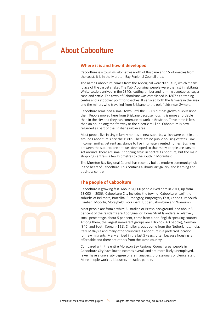## **About Caboolture**

### **Where it is and how it developed**

Caboolture is a town 44 kilometres north of Brisbane and 15 kilometres from the coast. It is in the Moreton Bay Regional Council area.

The name Caboolture comes from the Aboriginal word 'Kabultur', which means 'place of the carpet snake'. The Kabi Aboriginal people were the first inhabitants. White settlers arrived in the 1840s, cutting timber and farming vegetables, sugar cane and cattle. The town of Caboolture was established in 1867 as a trading centre and a stopover point for coaches. It serviced both the farmers in the area and the miners who travelled from Brisbane to the goldfields near Gympie.

Caboolture remained a small town until the 1980s but has grown quickly since then. People moved here from Brisbane because housing is more affordable than in the city and they can commute to work in Brisbane. Travel time is less than an hour along the freeway or the electric rail line. Caboolture is now regarded as part of the Brisbane urban area.

Most people live in single family homes in new suburbs, which were built in and around Caboolture since the 1980s. There are no public housing estates. Low income families get rent assistance to live in privately rented homes. Bus lines between the suburbs are not well developed so that many people use cars to get around. There are small shopping areas in central Caboolture, but the main shopping centre is a few kilometres to the south in Morayfield.

The Moreton Bay Regional Council has recently built a modern community hub in the heart of Caboolture. This contains a library, art gallery, and learning and business centre.

### **The people of Caboolture**

Caboolture is growing fast. About 81,000 people lived here in 2011, up from 63,000 in 2006. Caboolture City includes the town of Caboolture itself, the suburbs of Bellmere, Bracalba, Burpengary, Burpengary East, Caboolture South, Elimbah, Moodlu, Morayfield, Rocksberg, Upper Caboolture and Wamuran.

Most people are from a white Australian or British background, and about 3 per cent of the residents are Aboriginal or Torres Strait Islanders. A relatively small percentage, about 5 per cent, come from a non-English speaking country. Among them, the largest immigrant groups are Fillipino (563 people), German (340) and South Korean (191). Smaller groups come from the Netherlands, India, Italy, Malaysia and many other countries. Caboolture is a preferred location for new migrants. Many arrived in the last 5 years, often because housing is affordable and there are others from the same country.

Compared with the entire Moreton Bay Regional Council area, people in Caboolture City have lower incomes overall and are more likely unemployed, fewer have a university degree or are managers, professionals or clerical staff. More people work as labourers or trades people.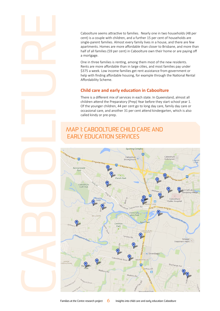Caboolture seems attractive to families. Nearly one in two households (48 per cent) is a couple with children, and a further 15 per cent of households are single-parent families. Almost every family lives in a house, and there are few apartments. Homes are more affordable than closer to Brisbane, and more than half of all families (59 per cent) in Caboolture own their home or are paying off a mortgage.

One in three families is renting, among them most of the new residents. Rents are more affordable than in large cities, and most families pay under \$375 a week. Low income families get rent assistance from government or help with finding affordable housing, for example through the National Rental Affordability Scheme.

### **Child care and early education in Caboolture**

There is a different mix of services in each state. In Queensland, almost all children attend the Preparatory (Prep) Year before they start school year 1. Of the younger children, 44 per cent go to long day care, family day care or occasional care, and another 31 per cent attend kindergarten, which is also called kindy or pre-prep.

### Map 1: Caboolture child care and early education services

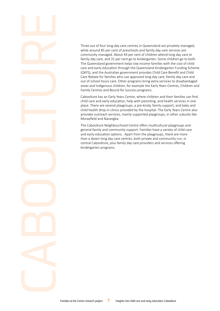Three out of four long day care centres in Queensland are privately managed, while around 85 per cent of preschools and family day care services are community managed. About 44 per cent of children attend long day care or family day care, and 31 per cent go to kindergarten. Some children go to both. The Queensland government helps low income families with the cost of child care and early education through the Queensland Kindergarten Funding Scheme (QKFS), and the Australian government provides Child Care Benefit and Child Care Rebate for families who use approved long day care, family day care and out of school hours care. Other programs bring extra services to disadvantaged areas and Indigenous children, for example the Early Years Centres, Children and Family Centres and Bound for Success programs.

Caboolture has an Early Years Centre, where children and their families can find child care and early education, help with parenting, and health services in one place. There are several playgroups, a pre-kindy, family support, and baby and child health drop-in clinics provided by the hospital. The Early Years Centre also provides outreach services, mainly supported playgroups, in other suburbs like Morayfield and Narangba.

The Caboolture Neighbourhood Centre offers multicultural playgroups and general family and community support. Families have a variety of child care and early education options. Apart from the playgroups, there are more than a dozen long day care centres, both private and community run, in central Caboolture, plus family day care providers and services offering kindergarten programs.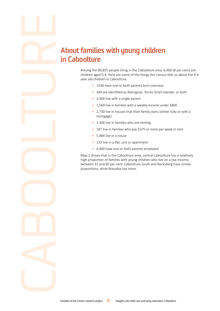## **About families with young children in Caboolture**

Among the 80,855 people living in the Caboolture area, 6,460 (8 per cent) are children aged 0-4. Here are some of the things the Census tells us about the 0-4 year old children in Caboolture:

- 1338 have one or both parents born overseas
- 394 are identified as Aboriginal, Torres Strait Islander, or both
- 1,466 live with a single parent
- 1,569 live in families with a weekly income under \$800
- 2,730 live in houses that their family owns (either fully or with a mortgage)
- 3,306 live in families who are renting
- 187 live in families who pay \$375 or more per week in rent
- 5,984 live in a house
- 133 live in a flat, unit or apartment
- 4,460 have one or both parents employed

Map 2 shows that in the Caboolture area, central Caboolture has a relatively high proportion of families with young children who live on a low income, between 31 and 40 per cent. Caboolture South and Rocksberg have similar proportions, while Bracalba has more.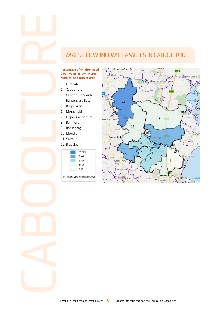### Map 2: Low income families in Caboolture

#### **Percentage of children aged 0 to 4 years in low income families, Caboolture area**

- 1. Elimbah
- 2. Caboolture
- 3. Caboolture South
- 4. Burpengary East
- 5. Burpengary
- 6. Morayfield
- 7. Upper Caboolture
- 8. Bellmere
- 9. Rocksberg
- 10. Moodlu
- 11. Wamuran
- 12. Bracalba



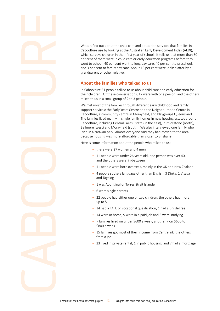We can find out about the child care and education services that families in Caboolture use by looking at the Australian Early Development Index (AEDI), which surveys children in their first year of school. It tells us that more than 80 per cent of them were in child care or early education programs before they went to school: 40 per cent went to long day care, 40 per cent to preschool, and 3 per cent to family day care. About 10 per cent were looked after by a grandparent or other relative.

### **About the families who talked to us**

In Caboolture 31 people talked to us about child care and early education for their children. Of these conversations, 12 were with one person, and the others talked to us in a small group of 2 to 3 people.

We met most of the families through different early childhood and family support services: the Early Years Centre and the Neighbourhood Centre in Caboolture, a community centre in Morayfield, and Playgroups Queensland. The families lived mainly in single family homes in new housing estates around Caboolture, including Central Lakes Estate (in the east), Pumicestone (north), Bellmere (west) and Morayfield (south). We also interviewed one family who lived in a caravan park. Almost everyone said they had moved to the area because housing was more affordable than closer to Brisbane.

Here is some information about the people who talked to us:

- there were 27 women and 4 men
- 11 people were under 26 years old, one person was over 40, and the others were in-between
- 11 people were born overseas, mainly in the UK and New Zealand
- 4 people spoke a language other than English: 3 Dinka, 1 Visaya and Tagalog
- 1 was Aboriginal or Torres Strait Islander
- 6 were single parents
- 22 people had either one or two children, the others had more, up to 5
- 14 had a TAFE or vocational qualification, 1 had a uni degree
- 14 were at home, 9 were in a paid job and 3 were studying
- 7 families lived on under \$600 a week, another 7 on \$600 to \$800 a week
- 15 families got most of their income from Centrelink, the others from a job
- 23 lived in private rental, 1 in public housing, and 7 had a mortgage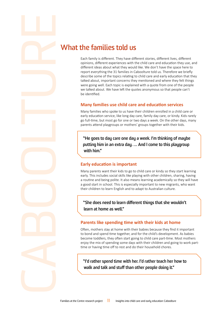### **What the families told us**

Each family is different. They have different stories, different lives, different opinions, different experiences with the child care and education they use, and different ideas about what they would like. We don't have the space here to report everything the 31 families in Caboolture told us. Therefore we briefly describe some of the topics relating to child care and early education that they talked about, important concerns they mentioned and where they felt things were going well. Each topic is explained with a quote from one of the people we talked about. We have left the quotes anonymous so that people can't be identified.

### **Many families use child care and education services**

Many families who spoke to us have their children enrolled in a child care or early education service, like long day care, family day care, or kindy. Kids rarely go full-time, but most go for one or two days a week. On the other days, many parents attend playgroups or mothers' groups together with their kids.

**"He goes to day care one day a week. I'm thinking of maybe putting him in an extra day. … And I come to this playgroup with him."**

### **Early education is important**

Many parents want their kids to go to child care or kindy so they start learning early. This includes social skills like playing with other children, sharing, having a routine and being polite. It also means learning academically so they will have a good start in school. This is especially important to new migrants, who want their children to learn English and to adapt to Australian culture.

**"She does need to learn different things that she wouldn't learn at home as well."**

### **Parents like spending time with their kids at home**

Often, mothers stay at home with their babies because they find it important to bond and spend time together, and for the child's development. As babies become toddlers, they often start going to child care part-time. Most mothers enjoy the mix of spending some days with their children and going to work parttime or having time off to rest and do their household chores.

**"I'd rather spend time with her. I'd rather teach her how to walk and talk and stuff than other people doing it."**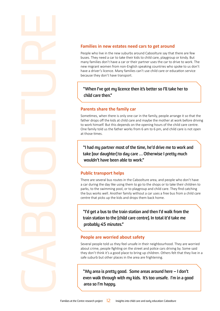#### **Families in new estates need cars to get around**

People who live in the new suburbs around Caboolture say that there are few buses. They need a car to take their kids to child care, playgroup or kindy. But many families don't have a car or their partner uses the car to drive to work. The new migrant women from non-English speaking countries who spoke to us don't have a driver's licence. Many families can't use child care or education service because they don't have transport.

### **"When I've got my licence then it's better so I'll take her to child care then."**

#### **Parents share the family car**

Sometimes, when there is only one car in the family, people arrange it so that the father drops off the kids at child care and maybe the mother at work before driving to work himself. But this depends on the opening hours of the child care centre. One family told us the father works from 6 am to 6 pm, and child care is not open at those times.

**"I had my partner most of the time, he'd drive me to work and take [our daughter] to day care … Otherwise I pretty much wouldn't have been able to work."**

#### **Public transport helps**

There are several bus routes in the Caboolture area, and people who don't have a car during the day like using them to go to the shops or to take their children to parks, to the swimming pool, or to playgroup and child care. They find catching the bus works well. Another family without a car uses a free bus from a child care centre that picks up the kids and drops them back home.

**"I'd get a bus to the train station and then I'd walk from the train station to the [child care centre]. In total it'd take me probably 45 minutes."**

#### **People are worried about safety**

Several people told us they feel unsafe in their neighbourhood. They are worried about crime, people fighting on the street and police cars driving by. Some said they don't think it's a good place to bring up children. Others felt that they live in a safe suburb but other places in the area are frightening.

**"My area is pretty good. Some areas around here – I don't even walk through with my kids. It's too unsafe. I'm in a good area so I'm happy.**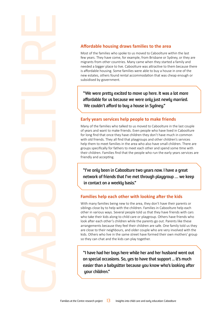### **Affordable housing draws families to the area**

Most of the families who spoke to us moved to Caboolture within the last few years. They have come, for example, from Brisbane or Sydney, or they are migrants from other countries. Many came when they started a family and needed a bigger place to live. Caboolture was attractive to them because there is affordable housing. Some families were able to buy a house in one of the new estates, others found rental accommodation that was cheap enough or subsidised by government.

**"We were pretty excited to move up here. It was a lot more affordable for us because we were only just newly married. We couldn't afford to buy a house in Sydney."**

### **Early years services help people to make friends**

Many of the families who talked to us moved to Caboolture in the last couple of years and want to make friends. Even people who have lived in Caboolture for long find that once they have children they don't have much in common with old friends. They all find that playgroups and other children's services help them to meet families in the area who also have small children. There are groups specifically for fathers to meet each other and spend some time with their children. Families find that the people who run the early years services are friendly and accepting.

**"I've only been in Caboolture two years now. I have a great network of friends that I've met through playgroup … we keep in contact on a weekly basis."**

### **Families help each other with looking after the kids**

With many families being new to the area, they don't have their parents or siblings close by to help with the children. Families in Caboolture help each other in various ways. Several people told us that they have friends with cars who take their kids along to child care or playgroup. Others have friends who look after each other's children while the parents go out. Parents like these arrangements because they feel their children are safe. One family told us they are close to their neighbours, and older couple who are very involved with the kids. Others who live in the same street have formed their own mothers' group so they can chat and the kids can play together.

**"I have had her boys here while her and her husband went out on special occasions. So, yes to have that support ... it's much easier than a babysitter because you know who's looking after your children."**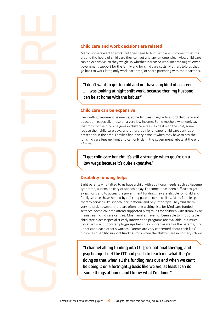### **Child care and work decisions are related**

Many mothers want to work, but they need to find flexible employment that fits around the hours of child care they can get and any emergencies. Also, child care can be expensive, so they weigh up whether increased work income might lower government support for the family and for child care costs. Mothers told us they go back to work later, only work part-time, or share parenting with their partners.

**"I don't want to get too old and not have any kind of a career … I was looking at night shift work, because then my husband can be at home with the babies."**

#### **Child care can be expensive**

Even with government payments, some families struggle to afford child care and education, especially those on a very low income. Some mothers who work say that most of their income goes in child care fees. To deal with the cost, some reduce their child care days, and others look for cheaper child care centres or preschools in the area. Families find it very difficult when they have to pay the full child care fees up front and can only claim the government rebate at the end of term.

**"I get child care benefit. It's still a struggle when you're on a low wage because it's quite expensive."** 

### **Disability funding helps**

Eight parents who talked to us have a child with additional needs, such as Asperger syndrome, autism, anxiety or speech delay. For some it has been difficult to get a diagnosis and to access the government funding they are eligible for. Child and family services have helped by referring parents to specialists. Many families get therapy services like speech, occupational and physiotherapy. They find them very helpful, however there are often long waiting lists for Medicare-funded services. Some children attend supported playgroups for children with disability or mainstream child care centres. Most families have not been able to find suitable child care places; specialist early intervention programs are available, but much too expensive. Supported playgroups help the children as well as the parents, who understand each other's worries. Parents are very concerned about their kids' future, as disability support funding stops when the children are in primary school.

**"I channel all my funding into OT [occupational therapy] and psychology. I get the OT and psych to teach me what they're doing so that when all the funding runs out and when we can't be doing it on a fortnightly basis like we are, at least I can do some things at home and I know what I'm doing."**